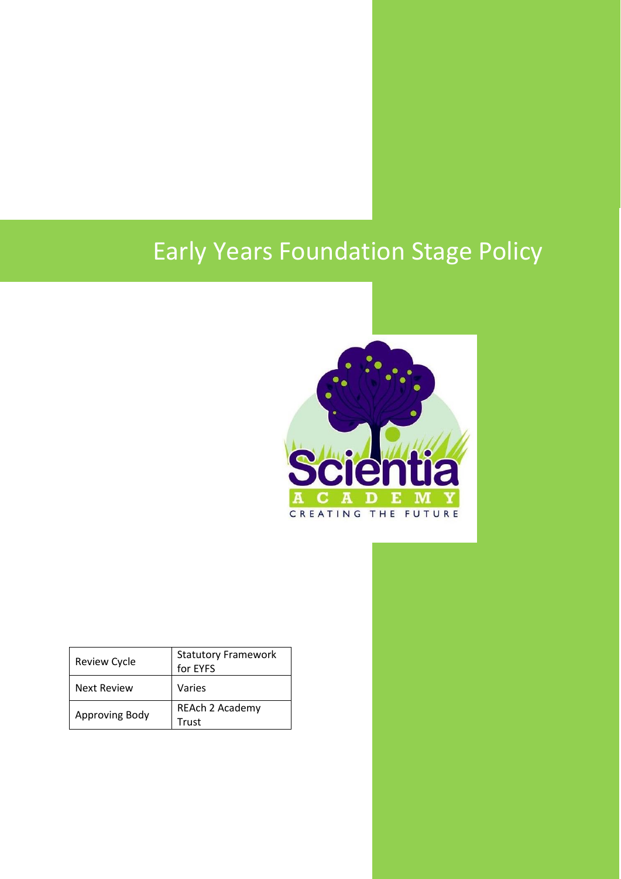# Early Years Foundation Stage Policy



| <b>Review Cycle</b> | <b>Statutory Framework</b><br>for EYFS |
|---------------------|----------------------------------------|
| <b>Next Review</b>  | Varies                                 |
| Approving Body      | REAch 2 Academy<br>Trust               |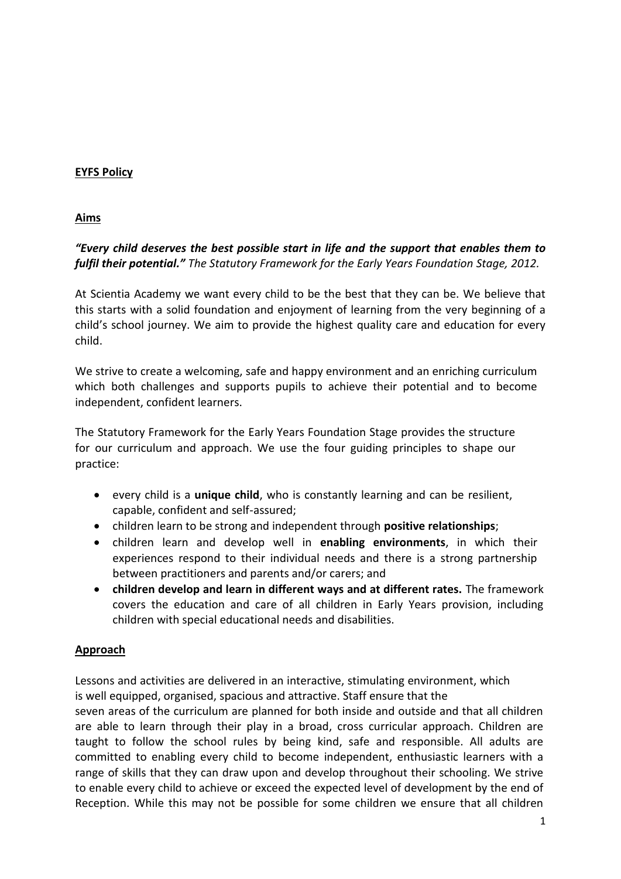## **EYFS Policy**

## **Aims**

# *"Every child deserves the best possible start in life and the support that enables them to fulfil their potential." The Statutory Framework for the Early Years Foundation Stage, 2012.*

At Scientia Academy we want every child to be the best that they can be. We believe that this starts with a solid foundation and enjoyment of learning from the very beginning of a child's school journey. We aim to provide the highest quality care and education for every child.

We strive to create a welcoming, safe and happy environment and an enriching curriculum which both challenges and supports pupils to achieve their potential and to become independent, confident learners.

The Statutory Framework for the Early Years Foundation Stage provides the structure for our curriculum and approach. We use the four guiding principles to shape our practice:

- every child is a **unique child**, who is constantly learning and can be resilient, capable, confident and self-assured;
- children learn to be strong and independent through **positive relationships**;
- children learn and develop well in **enabling environments**, in which their experiences respond to their individual needs and there is a strong partnership between practitioners and parents and/or carers; and
- **children develop and learn in different ways and at different rates.** The framework covers the education and care of all children in Early Years provision, including children with special educational needs and disabilities.

## **Approach**

Lessons and activities are delivered in an interactive, stimulating environment, which is well equipped, organised, spacious and attractive. Staff ensure that the

seven areas of the curriculum are planned for both inside and outside and that all children are able to learn through their play in a broad, cross curricular approach. Children are taught to follow the school rules by being kind, safe and responsible. All adults are committed to enabling every child to become independent, enthusiastic learners with a range of skills that they can draw upon and develop throughout their schooling. We strive to enable every child to achieve or exceed the expected level of development by the end of Reception. While this may not be possible for some children we ensure that all children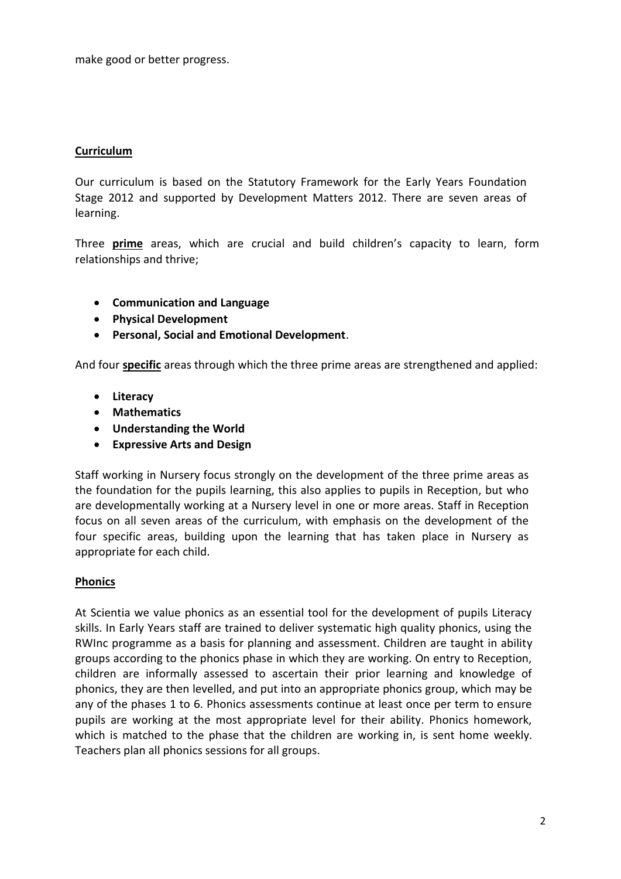make good or better progress.

## **Curriculum**

Our curriculum is based on the Statutory Framework for the Early Years Foundation Stage 2012 and supported by Development Matters 2012. There are seven areas of learning.

Three **prime** areas, which are crucial and build children's capacity to learn, form relationships and thrive;

- **Communication and Language**
- **Physical Development**
- **Personal, Social and Emotional Development**.

And four **specific** areas through which the three prime areas are strengthened and applied:

- **Literacy**
- **Mathematics**
- **Understanding the World**
- **Expressive Arts and Design**

Staff working in Nursery focus strongly on the development of the three prime areas as the foundation for the pupils learning, this also applies to pupils in Reception, but who are developmentally working at a Nursery level in one or more areas. Staff in Reception focus on all seven areas of the curriculum, with emphasis on the development of the four specific areas, building upon the learning that has taken place in Nursery as appropriate for each child.

## **Phonics**

At Scientia we value phonics as an essential tool for the development of pupils Literacy skills. In Early Years staff are trained to deliver systematic high quality phonics, using the RWInc programme as a basis for planning and assessment. Children are taught in ability groups according to the phonics phase in which they are working. On entry to Reception, children are informally assessed to ascertain their prior learning and knowledge of phonics, they are then levelled, and put into an appropriate phonics group, which may be any of the phases 1 to 6. Phonics assessments continue at least once per term to ensure pupils are working at the most appropriate level for their ability. Phonics homework, which is matched to the phase that the children are working in, is sent home weekly. Teachers plan all phonics sessions for all groups.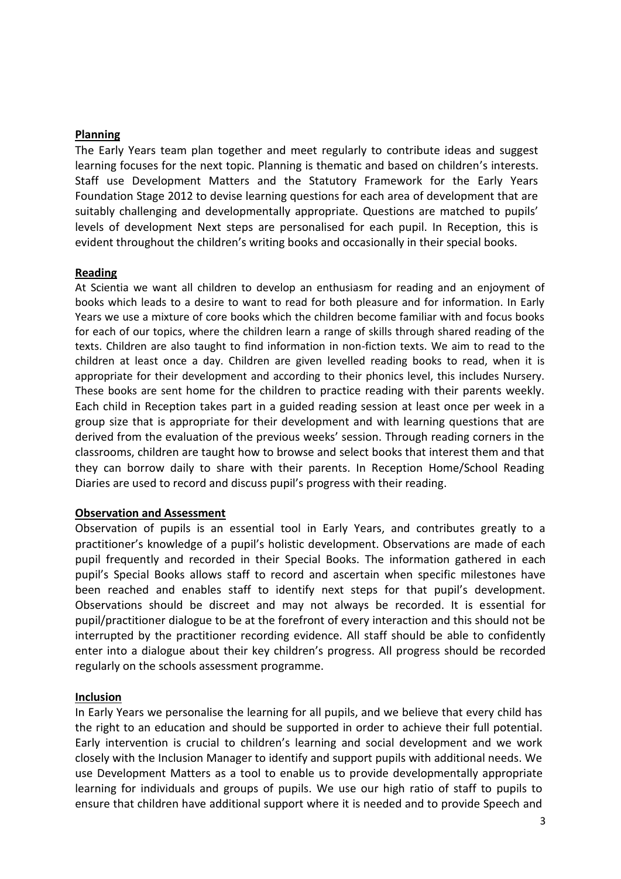## **Planning**

The Early Years team plan together and meet regularly to contribute ideas and suggest learning focuses for the next topic. Planning is thematic and based on children's interests. Staff use Development Matters and the Statutory Framework for the Early Years Foundation Stage 2012 to devise learning questions for each area of development that are suitably challenging and developmentally appropriate. Questions are matched to pupils' levels of development Next steps are personalised for each pupil. In Reception, this is evident throughout the children's writing books and occasionally in their special books.

## **Reading**

At Scientia we want all children to develop an enthusiasm for reading and an enjoyment of books which leads to a desire to want to read for both pleasure and for information. In Early Years we use a mixture of core books which the children become familiar with and focus books for each of our topics, where the children learn a range of skills through shared reading of the texts. Children are also taught to find information in non-fiction texts. We aim to read to the children at least once a day. Children are given levelled reading books to read, when it is appropriate for their development and according to their phonics level, this includes Nursery. These books are sent home for the children to practice reading with their parents weekly. Each child in Reception takes part in a guided reading session at least once per week in a group size that is appropriate for their development and with learning questions that are derived from the evaluation of the previous weeks' session. Through reading corners in the classrooms, children are taught how to browse and select books that interest them and that they can borrow daily to share with their parents. In Reception Home/School Reading Diaries are used to record and discuss pupil's progress with their reading.

#### **Observation and Assessment**

Observation of pupils is an essential tool in Early Years, and contributes greatly to a practitioner's knowledge of a pupil's holistic development. Observations are made of each pupil frequently and recorded in their Special Books. The information gathered in each pupil's Special Books allows staff to record and ascertain when specific milestones have been reached and enables staff to identify next steps for that pupil's development. Observations should be discreet and may not always be recorded. It is essential for pupil/practitioner dialogue to be at the forefront of every interaction and this should not be interrupted by the practitioner recording evidence. All staff should be able to confidently enter into a dialogue about their key children's progress. All progress should be recorded regularly on the schools assessment programme.

#### **Inclusion**

In Early Years we personalise the learning for all pupils, and we believe that every child has the right to an education and should be supported in order to achieve their full potential. Early intervention is crucial to children's learning and social development and we work closely with the Inclusion Manager to identify and support pupils with additional needs. We use Development Matters as a tool to enable us to provide developmentally appropriate learning for individuals and groups of pupils. We use our high ratio of staff to pupils to ensure that children have additional support where it is needed and to provide Speech and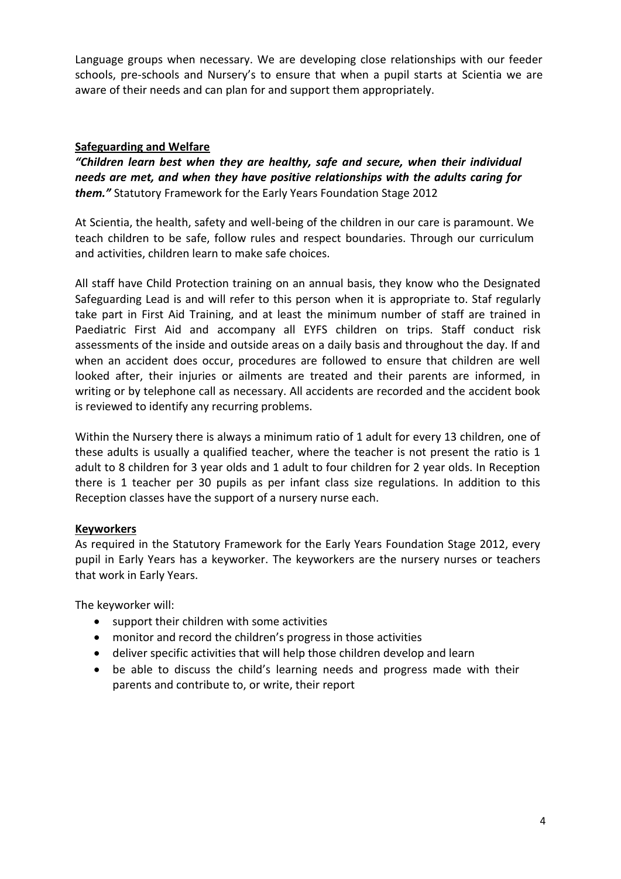Language groups when necessary. We are developing close relationships with our feeder schools, pre-schools and Nursery's to ensure that when a pupil starts at Scientia we are aware of their needs and can plan for and support them appropriately.

## **Safeguarding and Welfare**

*"Children learn best when they are healthy, safe and secure, when their individual needs are met, and when they have positive relationships with the adults caring for them."* Statutory Framework for the Early Years Foundation Stage 2012

At Scientia, the health, safety and well-being of the children in our care is paramount. We teach children to be safe, follow rules and respect boundaries. Through our curriculum and activities, children learn to make safe choices.

All staff have Child Protection training on an annual basis, they know who the Designated Safeguarding Lead is and will refer to this person when it is appropriate to. Staf regularly take part in First Aid Training, and at least the minimum number of staff are trained in Paediatric First Aid and accompany all EYFS children on trips. Staff conduct risk assessments of the inside and outside areas on a daily basis and throughout the day. If and when an accident does occur, procedures are followed to ensure that children are well looked after, their injuries or ailments are treated and their parents are informed, in writing or by telephone call as necessary. All accidents are recorded and the accident book is reviewed to identify any recurring problems.

Within the Nursery there is always a minimum ratio of 1 adult for every 13 children, one of these adults is usually a qualified teacher, where the teacher is not present the ratio is 1 adult to 8 children for 3 year olds and 1 adult to four children for 2 year olds. In Reception there is 1 teacher per 30 pupils as per infant class size regulations. In addition to this Reception classes have the support of a nursery nurse each.

## **Keyworkers**

As required in the Statutory Framework for the Early Years Foundation Stage 2012, every pupil in Early Years has a keyworker. The keyworkers are the nursery nurses or teachers that work in Early Years.

The keyworker will:

- support their children with some activities
- monitor and record the children's progress in those activities
- deliver specific activities that will help those children develop and learn
- be able to discuss the child's learning needs and progress made with their parents and contribute to, or write, their report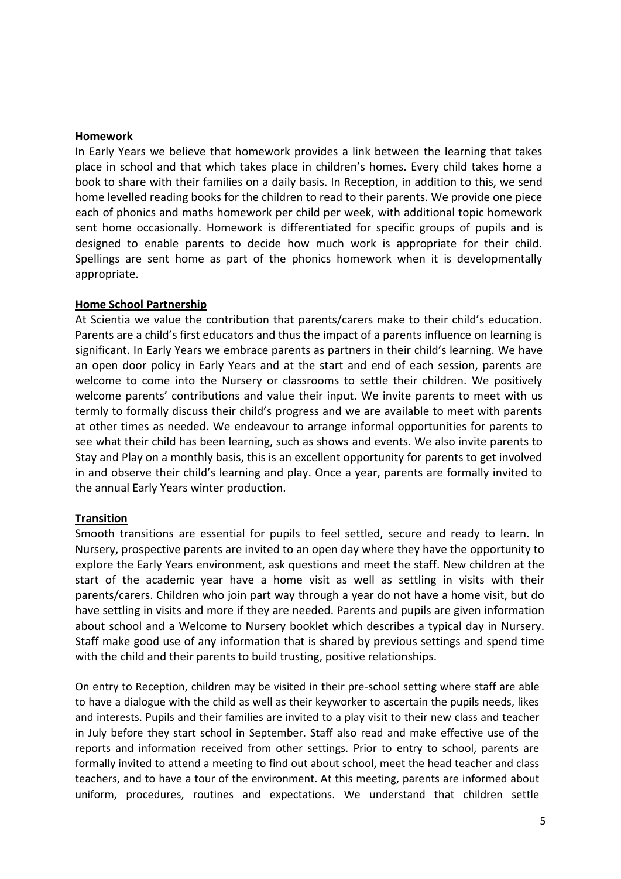## **Homework**

In Early Years we believe that homework provides a link between the learning that takes place in school and that which takes place in children's homes. Every child takes home a book to share with their families on a daily basis. In Reception, in addition to this, we send home levelled reading books for the children to read to their parents. We provide one piece each of phonics and maths homework per child per week, with additional topic homework sent home occasionally. Homework is differentiated for specific groups of pupils and is designed to enable parents to decide how much work is appropriate for their child. Spellings are sent home as part of the phonics homework when it is developmentally appropriate.

## **Home School Partnership**

At Scientia we value the contribution that parents/carers make to their child's education. Parents are a child's first educators and thus the impact of a parents influence on learning is significant. In Early Years we embrace parents as partners in their child's learning. We have an open door policy in Early Years and at the start and end of each session, parents are welcome to come into the Nursery or classrooms to settle their children. We positively welcome parents' contributions and value their input. We invite parents to meet with us termly to formally discuss their child's progress and we are available to meet with parents at other times as needed. We endeavour to arrange informal opportunities for parents to see what their child has been learning, such as shows and events. We also invite parents to Stay and Play on a monthly basis, this is an excellent opportunity for parents to get involved in and observe their child's learning and play. Once a year, parents are formally invited to the annual Early Years winter production.

## **Transition**

Smooth transitions are essential for pupils to feel settled, secure and ready to learn. In Nursery, prospective parents are invited to an open day where they have the opportunity to explore the Early Years environment, ask questions and meet the staff. New children at the start of the academic year have a home visit as well as settling in visits with their parents/carers. Children who join part way through a year do not have a home visit, but do have settling in visits and more if they are needed. Parents and pupils are given information about school and a Welcome to Nursery booklet which describes a typical day in Nursery. Staff make good use of any information that is shared by previous settings and spend time with the child and their parents to build trusting, positive relationships.

On entry to Reception, children may be visited in their pre-school setting where staff are able to have a dialogue with the child as well as their keyworker to ascertain the pupils needs, likes and interests. Pupils and their families are invited to a play visit to their new class and teacher in July before they start school in September. Staff also read and make effective use of the reports and information received from other settings. Prior to entry to school, parents are formally invited to attend a meeting to find out about school, meet the head teacher and class teachers, and to have a tour of the environment. At this meeting, parents are informed about uniform, procedures, routines and expectations. We understand that children settle